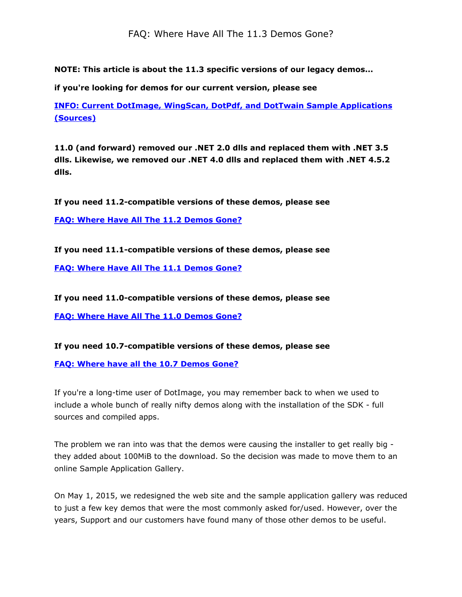FAQ: Where Have All The 11.3 Demos Gone?

NOTE: This article is about the 11.3 specific versions of our legacy demos...

if you're looking for demos for our current version, please see

[INFO:](https://www.atalasoft.com/kb2/KB/50086/INFO-Current-DotImage-WingScan-DotPdf-and-DotTwain-Sample-Applications-Sources) [Current](https://www.atalasoft.com/kb2/KB/50086/INFO-Current-DotImage-WingScan-DotPdf-and-DotTwain-Sample-Applications-Sources) [DotImage,](https://www.atalasoft.com/kb2/KB/50086/INFO-Current-DotImage-WingScan-DotPdf-and-DotTwain-Sample-Applications-Sources) [WingScan,](https://www.atalasoft.com/kb2/KB/50086/INFO-Current-DotImage-WingScan-DotPdf-and-DotTwain-Sample-Applications-Sources) [DotPdf,](https://www.atalasoft.com/kb2/KB/50086/INFO-Current-DotImage-WingScan-DotPdf-and-DotTwain-Sample-Applications-Sources) [and](https://www.atalasoft.com/kb2/KB/50086/INFO-Current-DotImage-WingScan-DotPdf-and-DotTwain-Sample-Applications-Sources) [DotTwain](https://www.atalasoft.com/kb2/KB/50086/INFO-Current-DotImage-WingScan-DotPdf-and-DotTwain-Sample-Applications-Sources) [Sample](https://www.atalasoft.com/kb2/KB/50086/INFO-Current-DotImage-WingScan-DotPdf-and-DotTwain-Sample-Applications-Sources) [Applications](https://www.atalasoft.com/kb2/KB/50086/INFO-Current-DotImage-WingScan-DotPdf-and-DotTwain-Sample-Applications-Sources) [\(Sources\)](https://www.atalasoft.com/kb2/KB/50086/INFO-Current-DotImage-WingScan-DotPdf-and-DotTwain-Sample-Applications-Sources)

11.0 (and forward) removed our .NET 2.0 dlls and replaced them with .NET 3.5 dlls. Likewise, we removed our .NET 4.0 dlls and replaced them with .NET 4.5.2 dlls.

If you need 11.2-compatible versions of these demos, please see

[FAQ:](https://www.atalasoft.com/kb2/KB/50331/FAQ-Where-Have-All-the-112-Demos-Gone) [Where](https://www.atalasoft.com/kb2/KB/50331/FAQ-Where-Have-All-the-112-Demos-Gone) [Have](https://www.atalasoft.com/kb2/KB/50331/FAQ-Where-Have-All-the-112-Demos-Gone) [All](https://www.atalasoft.com/kb2/KB/50331/FAQ-Where-Have-All-the-112-Demos-Gone) [The](https://www.atalasoft.com/kb2/KB/50331/FAQ-Where-Have-All-the-112-Demos-Gone) [11.2](https://www.atalasoft.com/kb2/KB/50331/FAQ-Where-Have-All-the-112-Demos-Gone) [Demos](https://www.atalasoft.com/kb2/KB/50331/FAQ-Where-Have-All-the-112-Demos-Gone) [Gone?](https://www.atalasoft.com/kb2/KB/50331/FAQ-Where-Have-All-the-112-Demos-Gone)

If you need 11.1-compatible versions of these demos, please see

[FAQ:](https://www.atalasoft.com/KB2/KB/50330/FAQ-Where-Have-All-the-111-Demos-Gone) [Where](https://www.atalasoft.com/KB2/KB/50330/FAQ-Where-Have-All-the-111-Demos-Gone) [Have](https://www.atalasoft.com/KB2/KB/50330/FAQ-Where-Have-All-the-111-Demos-Gone) [All](https://www.atalasoft.com/KB2/KB/50330/FAQ-Where-Have-All-the-111-Demos-Gone) [The](https://www.atalasoft.com/KB2/KB/50330/FAQ-Where-Have-All-the-111-Demos-Gone) [11.1](https://www.atalasoft.com/KB2/KB/50330/FAQ-Where-Have-All-the-111-Demos-Gone) [Demos](https://www.atalasoft.com/KB2/KB/50330/FAQ-Where-Have-All-the-111-Demos-Gone) [Gone?](https://www.atalasoft.com/KB2/KB/50330/FAQ-Where-Have-All-the-111-Demos-Gone)

If you need 11.0-compatible versions of these demos, please see

[FAQ:](https://www.atalasoft.com/KB2/KB/50031/FAQ-Where-Have-All-the-110-Demos-Gone) [Where](https://www.atalasoft.com/KB2/KB/50031/FAQ-Where-Have-All-the-110-Demos-Gone) [Have](https://www.atalasoft.com/KB2/KB/50031/FAQ-Where-Have-All-the-110-Demos-Gone) [All](https://www.atalasoft.com/KB2/KB/50031/FAQ-Where-Have-All-the-110-Demos-Gone) [The](https://www.atalasoft.com/KB2/KB/50031/FAQ-Where-Have-All-the-110-Demos-Gone) [11.0](https://www.atalasoft.com/KB2/KB/50031/FAQ-Where-Have-All-the-110-Demos-Gone) [Demos](https://www.atalasoft.com/KB2/KB/50031/FAQ-Where-Have-All-the-110-Demos-Gone) [Gone?](https://www.atalasoft.com/KB2/KB/50031/FAQ-Where-Have-All-the-110-Demos-Gone)

If you need 10.7-compatible versions of these demos, please see

[FAQ:](https://www.atalasoft.com/KB2/KB/50052/FAQ-Where-Have-All-the-107-Demos-Gone) [Where](https://www.atalasoft.com/KB2/KB/50052/FAQ-Where-Have-All-the-107-Demos-Gone) [have](https://www.atalasoft.com/KB2/KB/50052/FAQ-Where-Have-All-the-107-Demos-Gone) [all](https://www.atalasoft.com/KB2/KB/50052/FAQ-Where-Have-All-the-107-Demos-Gone) [the](https://www.atalasoft.com/KB2/KB/50052/FAQ-Where-Have-All-the-107-Demos-Gone) [10.7](https://www.atalasoft.com/KB2/KB/50052/FAQ-Where-Have-All-the-107-Demos-Gone) [Demos](https://www.atalasoft.com/KB2/KB/50052/FAQ-Where-Have-All-the-107-Demos-Gone) [Gone?](https://www.atalasoft.com/KB2/KB/50052/FAQ-Where-Have-All-the-107-Demos-Gone)

If you're a long-time user of DotImage, you may remember back to when we used to include a whole bunch of really nifty demos along with the installation of the SDK - full sources and compiled apps.

The problem we ran into was that the demos were causing the installer to get really big they added about 100MiB to the download. So the decision was made to move them to an online Sample Application Gallery.

On May 1, 2015, we redesigned the web site and the sample application gallery was reduced to just a few key demos that were the most commonly asked for/used. However, over the years, Support and our customers have found many of those other demos to be useful.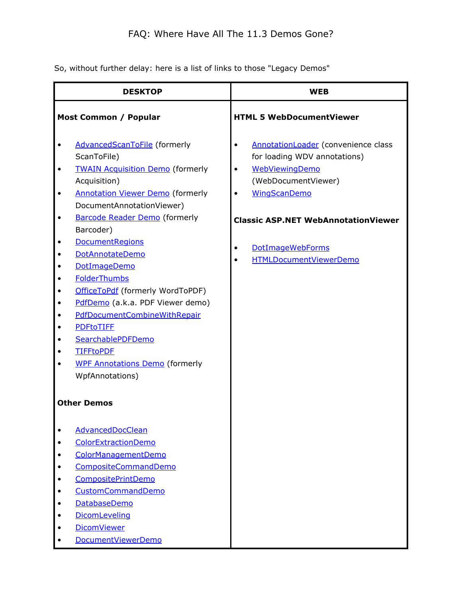So, without further delay: here is a list of links to those "Legacy Demos"

| <b>DESKTOP</b>                                                                                                                                                                                                                                                                                                                                                                                                                                                                                                                                                                                                                                                                   | <b>WEB</b>                                                                                                                                                                                                                                                                                  |
|----------------------------------------------------------------------------------------------------------------------------------------------------------------------------------------------------------------------------------------------------------------------------------------------------------------------------------------------------------------------------------------------------------------------------------------------------------------------------------------------------------------------------------------------------------------------------------------------------------------------------------------------------------------------------------|---------------------------------------------------------------------------------------------------------------------------------------------------------------------------------------------------------------------------------------------------------------------------------------------|
| <b>HTML 5 WebDocumentViewer</b><br>Most Common / Popular                                                                                                                                                                                                                                                                                                                                                                                                                                                                                                                                                                                                                         |                                                                                                                                                                                                                                                                                             |
| <b>AdvancedScanToFile</b> (formerly<br>$\bullet$<br>ScanToFile)<br><b>TWAIN Acquisition Demo (formerly</b><br>$\bullet$<br>Acquisition)<br><b>Annotation Viewer Demo (formerly</b><br>$\bullet$<br>DocumentAnnotationViewer)<br><b>Barcode Reader Demo</b> (formerly<br>$\bullet$<br>Barcoder)<br><b>DocumentRegions</b><br>DotAnnotateDemo<br>DotImageDemo<br><b>FolderThumbs</b><br>$\bullet$<br>OfficeToPdf (formerly WordToPDF)<br>PdfDemo (a.k.a. PDF Viewer demo)<br>$\bullet$<br>PdfDocumentCombineWithRepair<br>$\bullet$<br><b>PDFtoTIFF</b><br>SearchablePDFDemo<br><b>TIFFtoPDF</b><br><b>WPF Annotations Demo (formerly</b><br>WpfAnnotations)<br><b>Other Demos</b> | AnnotationLoader (convenience class<br>$\bullet$<br>for loading WDV annotations)<br><b>WebViewingDemo</b><br>$\bullet$<br>(WebDocumentViewer)<br><b>WingScanDemo</b><br>$\bullet$<br><b>Classic ASP.NET WebAnnotationViewer</b><br><b>DotImageWebForms</b><br><b>HTMLDocumentViewerDemo</b> |
| AdvancedDocClean<br>ColorExtractionDemo<br>ColorManagementDemo<br>CompositeCommandDemo<br><b>CompositePrintDemo</b><br>CustomCommandDemo<br>DatabaseDemo<br>DicomLeveling<br><b>DicomViewer</b><br>DocumentViewerDemo                                                                                                                                                                                                                                                                                                                                                                                                                                                            |                                                                                                                                                                                                                                                                                             |